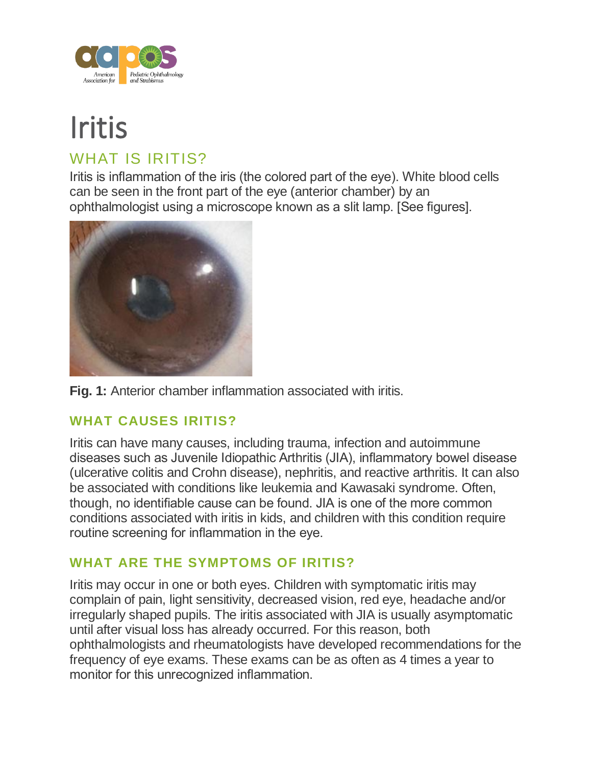

# Iritis WHAT IS IRITIS?

Iritis is inflammation of the iris (the colored part of the eye). White blood cells can be seen in the front part of the eye (anterior chamber) by an ophthalmologist using a microscope known as a slit lamp. [See figures].





### **WHAT CAUSES IRITIS?**

Iritis can have many causes, including trauma, infection and autoimmune diseases such as Juvenile Idiopathic Arthritis (JIA), inflammatory bowel disease (ulcerative colitis and Crohn disease), nephritis, and reactive arthritis. It can also be associated with conditions like leukemia and Kawasaki syndrome. Often, though, no identifiable cause can be found. JIA is one of the more common conditions associated with iritis in kids, and children with this condition require routine screening for inflammation in the eye.

## **WHAT ARE THE SYMPTOMS OF IRITIS?**

Iritis may occur in one or both eyes. Children with symptomatic iritis may complain of pain, light sensitivity, decreased vision, red eye, headache and/or irregularly shaped pupils. The iritis associated with JIA is usually asymptomatic until after visual loss has already occurred. For this reason, both ophthalmologists and rheumatologists have developed recommendations for the frequency of eye exams. These exams can be as often as 4 times a year to monitor for this unrecognized inflammation.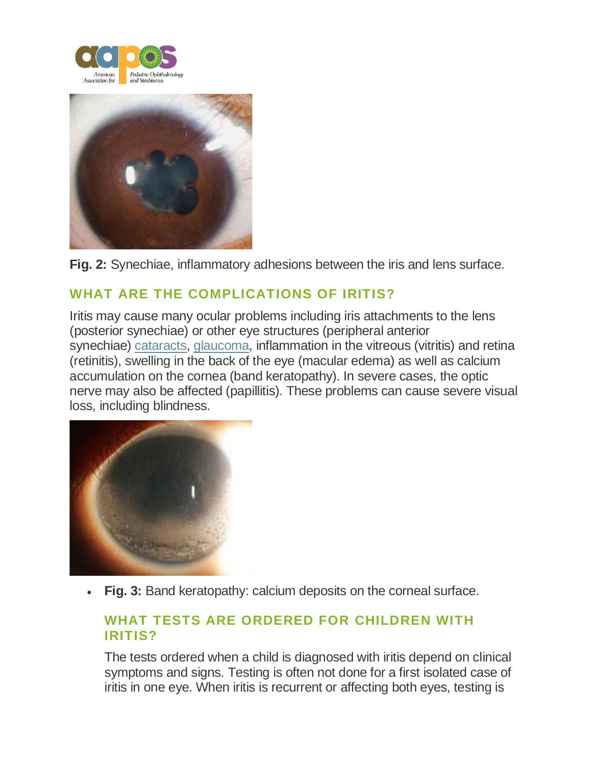



**Fig. 2:** Synechiae, inflammatory adhesions between the iris and lens surface.

## **WHAT ARE THE COMPLICATIONS OF IRITIS?**

Iritis may cause many ocular problems including iris attachments to the lens (posterior synechiae) or other eye structures (peripheral anterior synechiae) [cataracts,](https://aapos.org/glossary/cataract) [glaucoma,](https://aapos.org/glossary/glaucoma-for-children) inflammation in the vitreous (vitritis) and retina (retinitis), swelling in the back of the eye (macular edema) as well as calcium accumulation on the cornea (band keratopathy). In severe cases, the optic nerve may also be affected (papillitis). These problems can cause severe visual loss, including blindness.



• **Fig. 3:** Band keratopathy: calcium deposits on the corneal surface.

#### **WHAT TESTS ARE ORDERED FOR CHILDREN WITH IRITIS?**

The tests ordered when a child is diagnosed with iritis depend on clinical symptoms and signs. Testing is often not done for a first isolated case of iritis in one eye. When iritis is recurrent or affecting both eyes, testing is